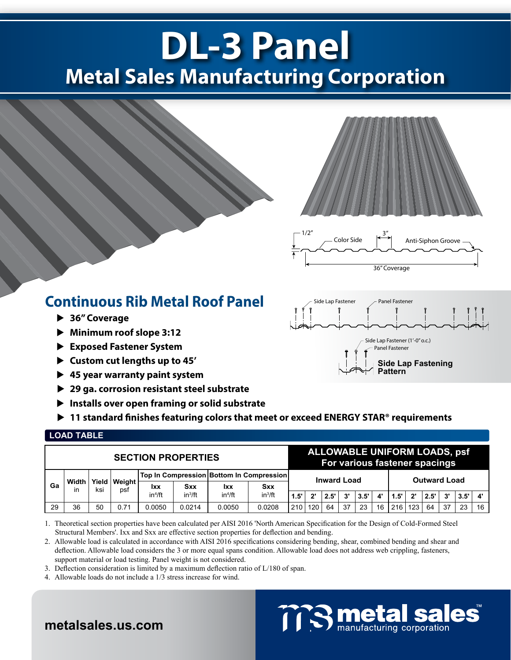# **DL-3 Panel Metal Sales Manufacturing Corporation**





### **Continuous Rib Metal Roof Panel**

- **36" Coverage**
- **Minimum roof slope 3:12**
- **Exposed Fastener System**
- **Custom cut lengths up to 45'**
- **45 year warranty paint system**
- ▶ 29 ga. corrosion resistant steel substrate
- **Installs over open framing or solid substrate**
- **11 standard finishes featuring colors that meet or exceed ENERGY STAR® requirements**

#### **LOAD TABLE**

| <b>SECTION PROPERTIES</b> |             |     |                         |                     |            |                                                                      |            |                    | <b>ALLOWABLE UNIFORM LOADS, psf</b><br>For various fastener spacings |      |    |               |                     |               |             |      |    |      |                        |  |
|---------------------------|-------------|-----|-------------------------|---------------------|------------|----------------------------------------------------------------------|------------|--------------------|----------------------------------------------------------------------|------|----|---------------|---------------------|---------------|-------------|------|----|------|------------------------|--|
| Ga                        | Width<br>in | ksi | Yield   Weight  <br>psf | Sxx<br><b>Ixx</b>   |            | Top In Compression Bottom In Compression<br><b>Sxx</b><br><b>Ixx</b> |            | <b>Inward Load</b> |                                                                      |      |    |               | <b>Outward Load</b> |               |             |      |    |      |                        |  |
|                           |             |     |                         | in <sup>4</sup> /ft | $in^3$ /ft | in <sup>4</sup> /ft                                                  | $in^3$ /ft | 1.5"               | יפ                                                                   | 2.5" | 3' | $3.5^{\circ}$ | $4^{\circ}$         | $1.5^{\circ}$ | $2^{\circ}$ | 2.5" | 3' | 3.5' | $\mathbf{A}^{\bullet}$ |  |
| 29                        | 36          | 50  | 0.71                    | 0.0050              | 0.0214     | 0.0050                                                               | 0.0208     | 210                | 120                                                                  | 64   | 37 | 23            | 16                  | 216           | 123         | 64   | 37 | 23   | 16                     |  |

1. Theoretical section properties have been calculated per AISI 2016 'North American Specification for the Design of Cold-Formed Steel Structural Members'. Ixx and Sxx are effective section properties for deflection and bending.

2. Allowable load is calculated in accordance with AISI 2016 specifications considering bending, shear, combined bending and shear and deflection. Allowable load considers the 3 or more equal spans condition. Allowable load does not address web crippling, fasteners, support material or load testing. Panel weight is not considered.

3. Deflection consideration is limited by a maximum deflection ratio of L/180 of span.

4. Allowable loads do not include a 1/3 stress increase for wind.





### **metalsales.us.com**